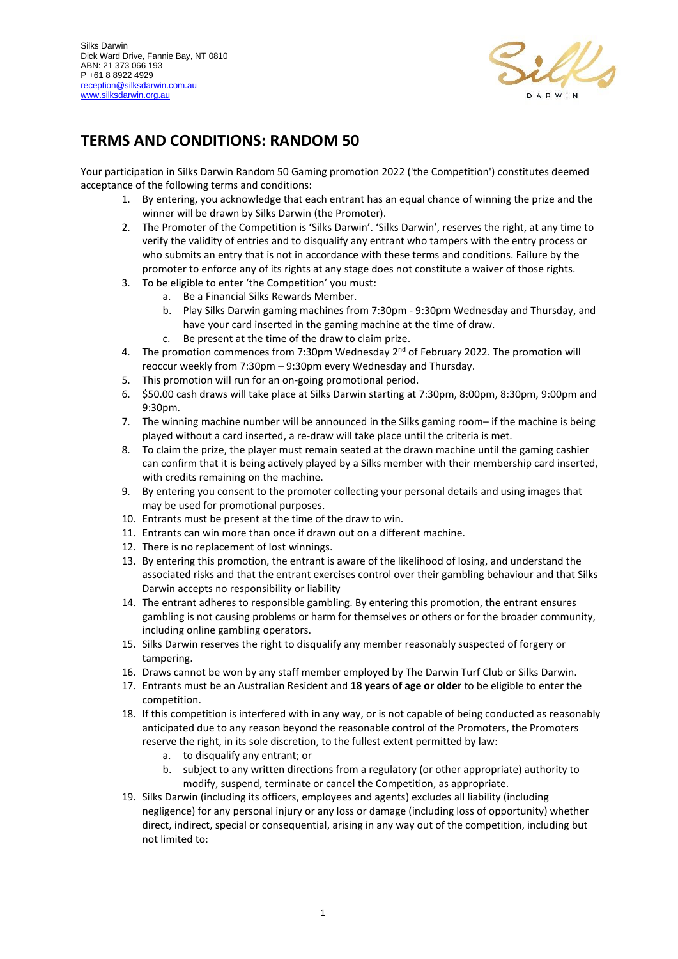

## **TERMS AND CONDITIONS: RANDOM 50**

Your participation in Silks Darwin Random 50 Gaming promotion 2022 ('the Competition') constitutes deemed acceptance of the following terms and conditions:

- 1. By entering, you acknowledge that each entrant has an equal chance of winning the prize and the winner will be drawn by Silks Darwin (the Promoter).
- 2. The Promoter of the Competition is 'Silks Darwin'. 'Silks Darwin', reserves the right, at any time to verify the validity of entries and to disqualify any entrant who tampers with the entry process or who submits an entry that is not in accordance with these terms and conditions. Failure by the promoter to enforce any of its rights at any stage does not constitute a waiver of those rights.
- 3. To be eligible to enter 'the Competition' you must:
	- a. Be a Financial Silks Rewards Member.
	- b. Play Silks Darwin gaming machines from 7:30pm 9:30pm Wednesday and Thursday, and have your card inserted in the gaming machine at the time of draw.
	- c. Be present at the time of the draw to claim prize.
- 4. The promotion commences from 7:30pm Wednesday 2<sup>nd</sup> of February 2022. The promotion will reoccur weekly from 7:30pm – 9:30pm every Wednesday and Thursday.
- 5. This promotion will run for an on-going promotional period.
- 6. \$50.00 cash draws will take place at Silks Darwin starting at 7:30pm, 8:00pm, 8:30pm, 9:00pm and 9:30pm.
- 7. The winning machine number will be announced in the Silks gaming room– if the machine is being played without a card inserted, a re-draw will take place until the criteria is met.
- 8. To claim the prize, the player must remain seated at the drawn machine until the gaming cashier can confirm that it is being actively played by a Silks member with their membership card inserted, with credits remaining on the machine.
- 9. By entering you consent to the promoter collecting your personal details and using images that may be used for promotional purposes.
- 10. Entrants must be present at the time of the draw to win.
- 11. Entrants can win more than once if drawn out on a different machine.
- 12. There is no replacement of lost winnings.
- 13. By entering this promotion, the entrant is aware of the likelihood of losing, and understand the associated risks and that the entrant exercises control over their gambling behaviour and that Silks Darwin accepts no responsibility or liability
- 14. The entrant adheres to responsible gambling. By entering this promotion, the entrant ensures gambling is not causing problems or harm for themselves or others or for the broader community, including online gambling operators.
- 15. Silks Darwin reserves the right to disqualify any member reasonably suspected of forgery or tampering.
- 16. Draws cannot be won by any staff member employed by The Darwin Turf Club or Silks Darwin.
- 17. Entrants must be an Australian Resident and **18 years of age or older** to be eligible to enter the competition.
- 18. If this competition is interfered with in any way, or is not capable of being conducted as reasonably anticipated due to any reason beyond the reasonable control of the Promoters, the Promoters reserve the right, in its sole discretion, to the fullest extent permitted by law:
	- a. to disqualify any entrant; or
	- b. subject to any written directions from a regulatory (or other appropriate) authority to modify, suspend, terminate or cancel the Competition, as appropriate.
- 19. Silks Darwin (including its officers, employees and agents) excludes all liability (including negligence) for any personal injury or any loss or damage (including loss of opportunity) whether direct, indirect, special or consequential, arising in any way out of the competition, including but not limited to: